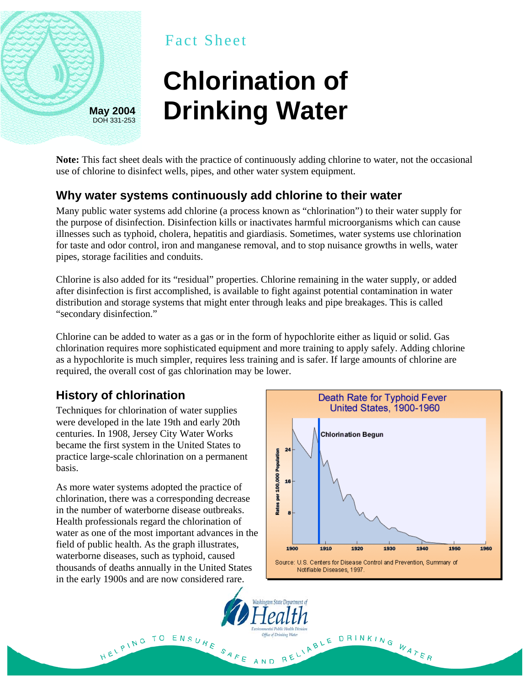

# Fact Sheet

# **Chlorination of Drinking Water**

**Note:** This fact sheet deals with the practice of continuously adding chlorine to water, not the occasional use of chlorine to disinfect wells, pipes, and other water system equipment.

#### **Why water systems continuously add chlorine to their water**

Many public water systems add chlorine (a process known as "chlorination") to their water supply for the purpose of disinfection. Disinfection kills or inactivates harmful microorganisms which can cause illnesses such as typhoid, cholera, hepatitis and giardiasis. Sometimes, water systems use chlorination for taste and odor control, iron and manganese removal, and to stop nuisance growths in wells, water pipes, storage facilities and conduits.

Chlorine is also added for its "residual" properties. Chlorine remaining in the water supply, or added after disinfection is first accomplished, is available to fight against potential contamination in water distribution and storage systems that might enter through leaks and pipe breakages. This is called "secondary disinfection."

Chlorine can be added to water as a gas or in the form of hypochlorite either as liquid or solid. Gas chlorination requires more sophisticated equipment and more training to apply safely. Adding chlorine as a hypochlorite is much simpler, requires less training and is safer. If large amounts of chlorine are required, the overall cost of gas chlorination may be lower.

## **History of chlorination**

Techniques for chlorination of water supplies were developed in the late 19th and early 20th centuries. In 1908, Jersey City Water Works became the first system in the United States to practice large-scale chlorination on a permanent basis.

As more water systems adopted the practice of chlorination, there was a corresponding decrease in the number of waterborne disease outbreaks. Health professionals regard the chlorination of water as one of the most important advances in the field of public health. As the graph illustrates, waterborne diseases, such as typhoid, caused thousands of deaths annually in the United States in the early 1900s and are now considered rare.

ENSURE

SAFE AND

HELPING TO



PIELIABLE DRINKING WATER